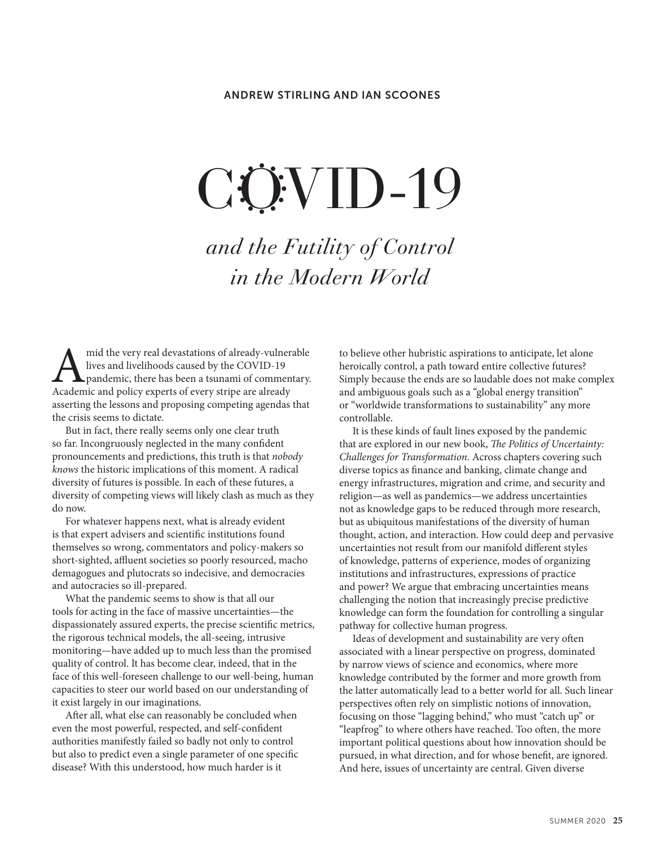# CÖ<sup>:</sup>VID-19

and the Futility of Control in the Modern World

mid the very real devastations of already-vulnerable<br>lives and livelihoods caused by the COVID-19<br>pandemic, there has been a tsunami of commentary.<br>Academic and policy experts of every stripe are already lives and livelihoods caused by the COVID-19 pandemic, there has been a tsunami of commentary. Academic and policy experts of every stripe are already asserting the lessons and proposing competing agendas that the crisis seems to dictate.

But in fact, there really seems only one clear truth so far. Incongruously neglected in the many confident pronouncements and predictions, this truth is that *nobody knows* the historic implications of this moment. A radical diversity of futures is possible. In each of these futures, a diversity of competing views will likely clash as much as they do now.

For whatever happens next, what is already evident is that expert advisers and scientific institutions found themselves so wrong, commentators and policy-makers so short-sighted, affluent societies so poorly resourced, macho demagogues and plutocrats so indecisive, and democracies and autocracies so ill-prepared.

What the pandemic seems to show is that all our tools for acting in the face of massive uncertainties—the dispassionately assured experts, the precise scientific metrics, the rigorous technical models, the all-seeing, intrusive monitoring—have added up to much less than the promised quality of control. It has become clear, indeed, that in the face of this well-foreseen challenge to our well-being, human capacities to steer our world based on our understanding of it exist largely in our imaginations.

After all, what else can reasonably be concluded when even the most powerful, respected, and self-confident authorities manifestly failed so badly not only to control but also to predict even a single parameter of one specific disease? With this understood, how much harder is it

to believe other hubristic aspirations to anticipate, let alone heroically control, a path toward entire collective futures? Simply because the ends are so laudable does not make complex and ambiguous goals such as a "global energy transition" or "worldwide transformations to sustainability" any more controllable.

It is these kinds of fault lines exposed by the pandemic that are explored in our new book, *The Politics of Uncertainty: Challenges for Transformation.* Across chapters covering such diverse topics as finance and banking, climate change and energy infrastructures, migration and crime, and security and religion—as well as pandemics—we address uncertainties not as knowledge gaps to be reduced through more research, but as ubiquitous manifestations of the diversity of human thought, action, and interaction. How could deep and pervasive uncertainties not result from our manifold different styles of knowledge, patterns of experience, modes of organizing institutions and infrastructures, expressions of practice and power? We argue that embracing uncertainties means challenging the notion that increasingly precise predictive knowledge can form the foundation for controlling a singular pathway for collective human progress.

Ideas of development and sustainability are very often associated with a linear perspective on progress, dominated by narrow views of science and economics, where more knowledge contributed by the former and more growth from the latter automatically lead to a better world for all. Such linear perspectives often rely on simplistic notions of innovation, focusing on those "lagging behind," who must "catch up" or "leapfrog" to where others have reached. Too often, the more important political questions about how innovation should be pursued, in what direction, and for whose benefit, are ignored. And here, issues of uncertainty are central. Given diverse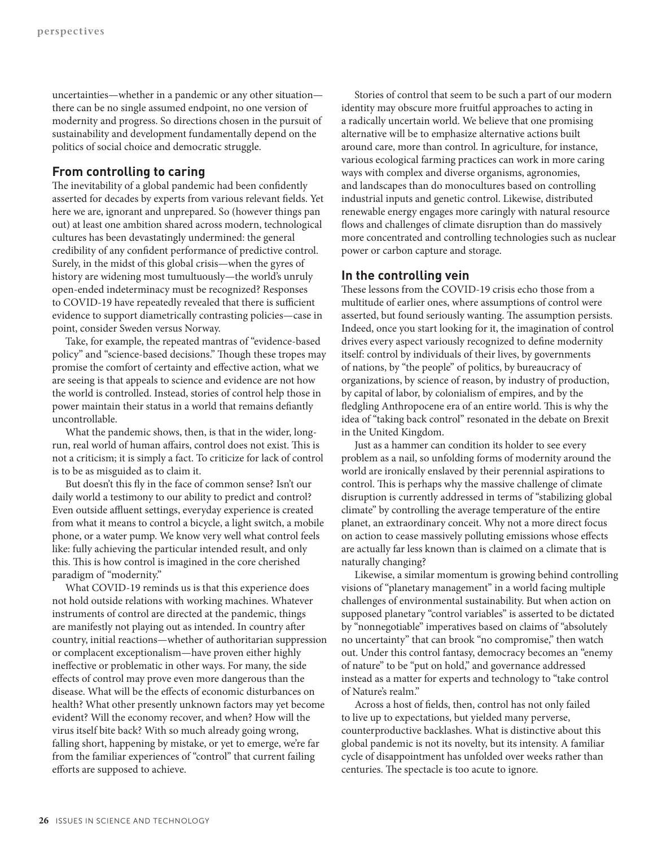uncertainties—whether in a pandemic or any other situation there can be no single assumed endpoint, no one version of modernity and progress. So directions chosen in the pursuit of sustainability and development fundamentally depend on the politics of social choice and democratic struggle.

#### **From controlling to caring**

The inevitability of a global pandemic had been confidently asserted for decades by experts from various relevant fields. Yet here we are, ignorant and unprepared. So (however things pan out) at least one ambition shared across modern, technological cultures has been devastatingly undermined: the general credibility of any confident performance of predictive control. Surely, in the midst of this global crisis—when the gyres of history are widening most tumultuously—the world's unruly open-ended indeterminacy must be recognized? Responses to COVID-19 have repeatedly revealed that there is sufficient evidence to support diametrically contrasting policies—case in point, consider Sweden versus Norway.

Take, for example, the repeated mantras of "evidence-based policy" and "science-based decisions." Though these tropes may promise the comfort of certainty and effective action, what we are seeing is that appeals to science and evidence are not how the world is controlled. Instead, stories of control help those in power maintain their status in a world that remains defiantly uncontrollable.

What the pandemic shows, then, is that in the wider, longrun, real world of human affairs, control does not exist. This is not a criticism; it is simply a fact. To criticize for lack of control is to be as misguided as to claim it.

But doesn't this fly in the face of common sense? Isn't our daily world a testimony to our ability to predict and control? Even outside affluent settings, everyday experience is created from what it means to control a bicycle, a light switch, a mobile phone, or a water pump. We know very well what control feels like: fully achieving the particular intended result, and only this. This is how control is imagined in the core cherished paradigm of "modernity."

What COVID-19 reminds us is that this experience does not hold outside relations with working machines. Whatever instruments of control are directed at the pandemic, things are manifestly not playing out as intended. In country after country, initial reactions—whether of authoritarian suppression or complacent exceptionalism—have proven either highly ineffective or problematic in other ways. For many, the side effects of control may prove even more dangerous than the disease. What will be the effects of economic disturbances on health? What other presently unknown factors may yet become evident? Will the economy recover, and when? How will the virus itself bite back? With so much already going wrong, falling short, happening by mistake, or yet to emerge, we're far from the familiar experiences of "control" that current failing efforts are supposed to achieve.

Stories of control that seem to be such a part of our modern identity may obscure more fruitful approaches to acting in a radically uncertain world. We believe that one promising alternative will be to emphasize alternative actions built around care, more than control. In agriculture, for instance, various ecological farming practices can work in more caring ways with complex and diverse organisms, agronomies, and landscapes than do monocultures based on controlling industrial inputs and genetic control. Likewise, distributed renewable energy engages more caringly with natural resource flows and challenges of climate disruption than do massively more concentrated and controlling technologies such as nuclear power or carbon capture and storage.

## **In the controlling vein**

These lessons from the COVID-19 crisis echo those from a multitude of earlier ones, where assumptions of control were asserted, but found seriously wanting. The assumption persists. Indeed, once you start looking for it, the imagination of control drives every aspect variously recognized to define modernity itself: control by individuals of their lives, by governments of nations, by "the people" of politics, by bureaucracy of organizations, by science of reason, by industry of production, by capital of labor, by colonialism of empires, and by the fledgling Anthropocene era of an entire world. This is why the idea of "taking back control" resonated in the debate on Brexit in the United Kingdom.

Just as a hammer can condition its holder to see every problem as a nail, so unfolding forms of modernity around the world are ironically enslaved by their perennial aspirations to control. This is perhaps why the massive challenge of climate disruption is currently addressed in terms of "stabilizing global climate" by controlling the average temperature of the entire planet, an extraordinary conceit. Why not a more direct focus on action to cease massively polluting emissions whose effects are actually far less known than is claimed on a climate that is naturally changing?

Likewise, a similar momentum is growing behind controlling visions of "planetary management" in a world facing multiple challenges of environmental sustainability. But when action on supposed planetary "control variables" is asserted to be dictated by "nonnegotiable" imperatives based on claims of "absolutely no uncertainty" that can brook "no compromise," then watch out. Under this control fantasy, democracy becomes an "enemy of nature" to be "put on hold," and governance addressed instead as a matter for experts and technology to "take control of Nature's realm."

Across a host of fields, then, control has not only failed to live up to expectations, but yielded many perverse, counterproductive backlashes. What is distinctive about this global pandemic is not its novelty, but its intensity. A familiar cycle of disappointment has unfolded over weeks rather than centuries. The spectacle is too acute to ignore.